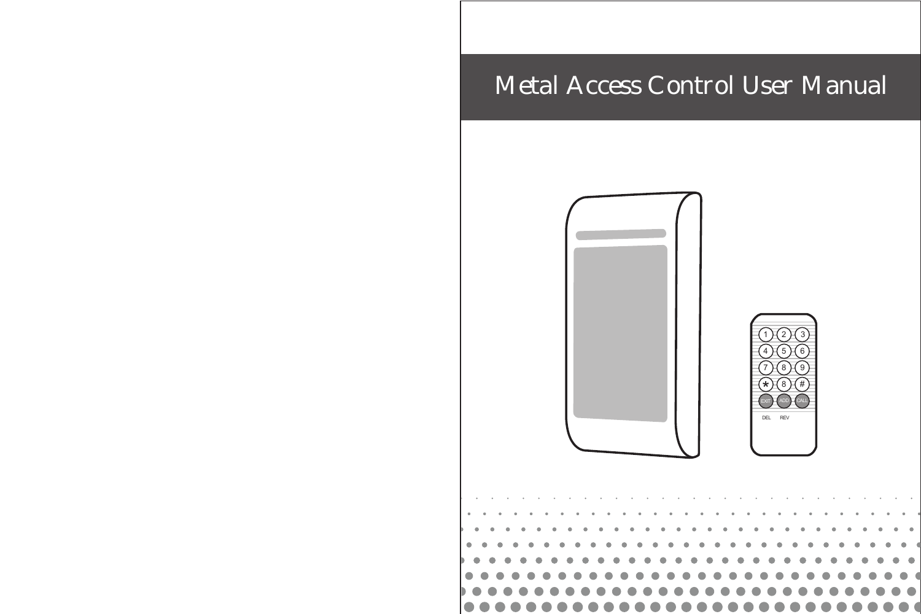# Metal Access Control User Manual





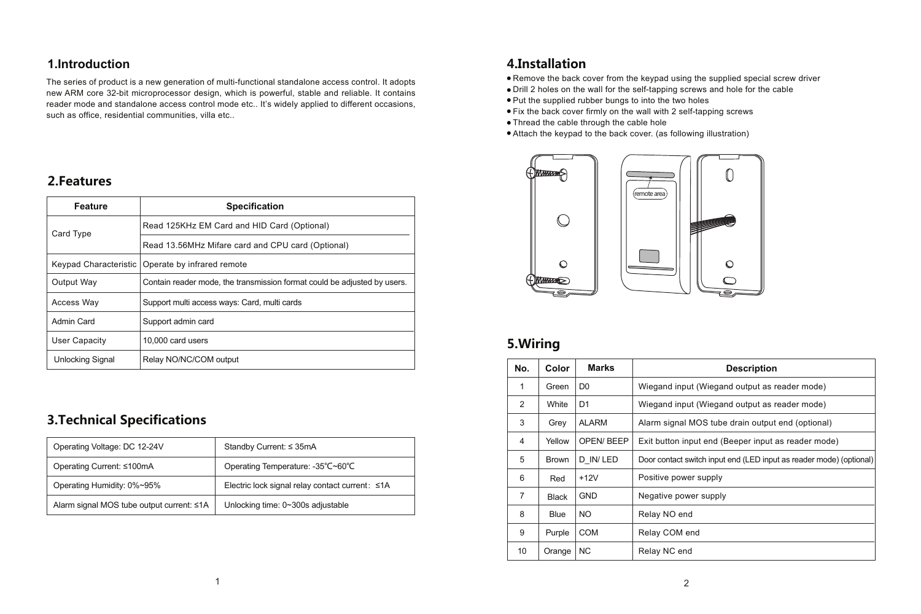### **1.Introduction**

The series of product is a new generation of multi-functional standalone access control. It adopts new ARM core 32-bit microprocessor design, which is powerful, stable and reliable. It contains reader mode and standalone access control mode etc.. It's widely applied to different occasions, such as office, residential communities, villa etc..

### **2.Features**

| Feature                 | <b>Specification</b>                                                     |
|-------------------------|--------------------------------------------------------------------------|
| Card Type               | Read 125KHz EM Card and HID Card (Optional)                              |
|                         | Read 13.56MHz Mifare card and CPU card (Optional)                        |
| Keypad Characteristic   | Operate by infrared remote                                               |
| Output Way              | Contain reader mode, the transmission format could be adjusted by users. |
| Access Way              | Support multi access ways: Card, multi cards                             |
| Admin Card              | Support admin card                                                       |
| <b>User Capacity</b>    | 10,000 card users                                                        |
| <b>Unlocking Signal</b> | Relay NO/NC/COM output                                                   |

# **3.Technical Specifications**

| Operating Voltage: DC 12-24V              | Standby Current: ≤ 35mA                         |
|-------------------------------------------|-------------------------------------------------|
| Operating Current: ≤100mA                 | Operating Temperature: -35°C~60°C               |
| Operating Humidity: 0%~95%                | Electric lock signal relay contact current: ≤1A |
| Alarm signal MOS tube output current: ≤1A | Unlocking time: 0~300s adjustable               |

## **4.Installation**

Remove the back cover from the keypad using the supplied special screw driver

- Drill 2 holes on the wall for the self-tapping screws and hole for the cable
- Put the supplied rubber bungs to into the two holes
- Fix the back cover firmly on the wall with 2 self-tapping screws
- Thread the cable through the cable hole
- Attach the keypad to the back cover. (as following illustration)



## **5.Wiring**

| No.            | Color        | <b>Marks</b>   | <b>Description</b>                                                  |
|----------------|--------------|----------------|---------------------------------------------------------------------|
| 1              | Green        | D <sub>0</sub> | Wiegand input (Wiegand output as reader mode)                       |
| $\overline{2}$ | <b>White</b> | D <sub>1</sub> | Wiegand input (Wiegand output as reader mode)                       |
| 3              | Grey         | <b>ALARM</b>   | Alarm signal MOS tube drain output end (optional)                   |
| 4              | Yellow       | OPEN/ BEEP     | Exit button input end (Beeper input as reader mode)                 |
| 5              | <b>Brown</b> | D IN/LED       | Door contact switch input end (LED input as reader mode) (optional) |
| 6              | Red          | $+12V$         | Positive power supply                                               |
| $\overline{7}$ | <b>Black</b> | <b>GND</b>     | Negative power supply                                               |
| 8              | <b>Blue</b>  | NO.            | Relay NO end                                                        |
| 9              | Purple       | <b>COM</b>     | Relay COM end                                                       |
| 10             | Orange       | <b>NC</b>      | Relay NC end                                                        |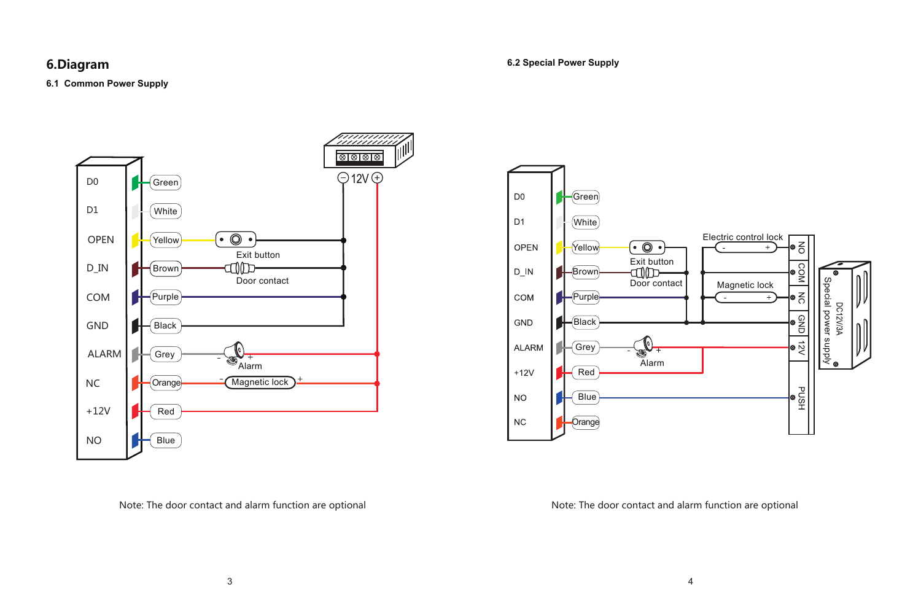### **6.Diagram**

### **6.2 Special Power Supply**

#### **6.1 Common Power Supply**





Note: The door contact and alarm function are optional Note: The door contact and alarm function are optional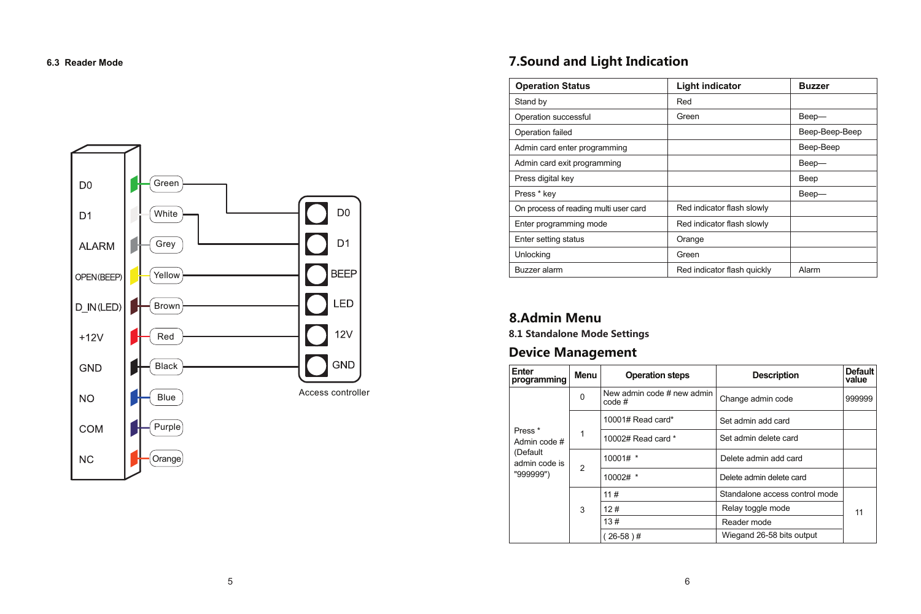

# **6.3 Reader Mode 7.Sound and Light Indication**

| <b>Operation Status</b>               | <b>Light indicator</b>      | <b>Buzzer</b>  |
|---------------------------------------|-----------------------------|----------------|
| Stand by                              | Red                         |                |
| Operation successful                  | Green                       | Beep-          |
| Operation failed                      |                             | Beep-Beep-Beep |
| Admin card enter programming          |                             | Beep-Beep      |
| Admin card exit programming           |                             | Beep-          |
| Press digital key                     |                             | Beep           |
| Press * key                           |                             | Beep-          |
| On process of reading multi user card | Red indicator flash slowly  |                |
| Enter programming mode                | Red indicator flash slowly  |                |
| Enter setting status                  | Orange                      |                |
| Unlocking                             | Green                       |                |
| Buzzer alarm                          | Red indicator flash quickly | Alarm          |

# **8.Admin Menu**

**8.1 Standalone Mode Settings**

# **Device Management**

| Enter<br>programming               | Menu                | <b>Operation steps</b>               | Description                    | <b>Default</b><br>value |
|------------------------------------|---------------------|--------------------------------------|--------------------------------|-------------------------|
|                                    | $\Omega$            | New admin code # new admin<br>code # | Change admin code              | 999999                  |
|                                    |                     | $10001\#$ Read card*                 | Set admin add card             |                         |
| Press <sup>*</sup><br>Admin code # | 1                   | 10002# Read card *                   | Set admin delete card          |                         |
| (Default<br>admin code is          | $\overline{2}$<br>3 | $10001#$ *                           | Delete admin add card          |                         |
| "999999")                          |                     | $10002#$ *                           | Delete admin delete card       |                         |
|                                    |                     | 11#                                  | Standalone access control mode |                         |
|                                    |                     | 12#                                  | Relay toggle mode              | 11                      |
|                                    |                     | 13#<br>Reader mode                   |                                |                         |
|                                    |                     | $26-58$ )#                           | Wiegand 26-58 bits output      |                         |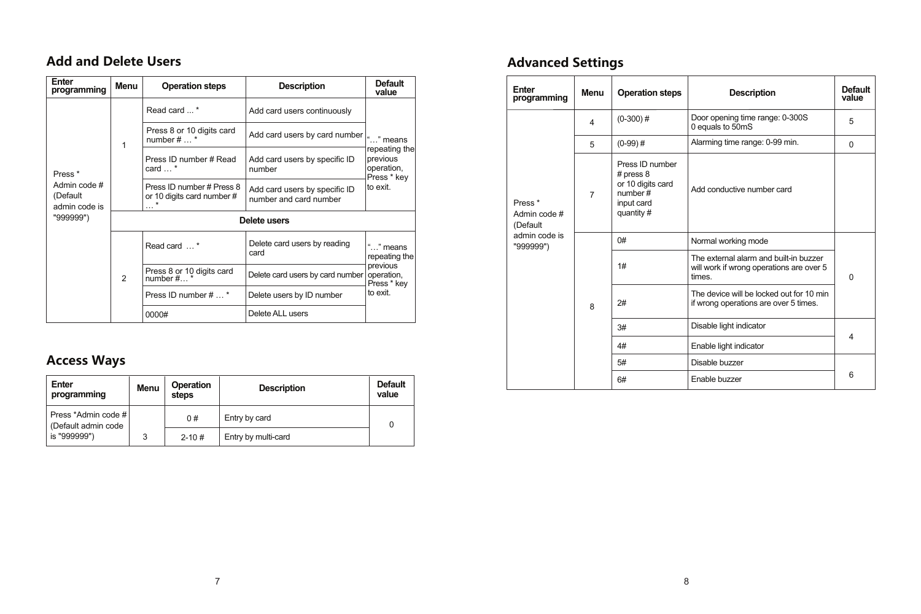# **Add and Delete Users**

| Enter<br>programming                                                     | Menu | <b>Operation steps</b>                                              | Description                                             | Default<br>value             | Enter<br>programming | Menu                       |                                            |                           |  |
|--------------------------------------------------------------------------|------|---------------------------------------------------------------------|---------------------------------------------------------|------------------------------|----------------------|----------------------------|--------------------------------------------|---------------------------|--|
|                                                                          |      | Read card *                                                         | Add card users continuously                             |                              |                      | $\overline{\mathbf{4}}$    |                                            |                           |  |
|                                                                          |      | Press 8 or 10 digits card<br>number $# \dots$                       | Add card users by card number                           | " means                      |                      | 5                          |                                            |                           |  |
|                                                                          |      | Press ID number # Read                                              | Add card users by specific ID                           | repeating the<br>previous    |                      |                            | $(0-99)$ #                                 |                           |  |
| Press <sup>*</sup>                                                       |      | card $\dots$ *                                                      | number                                                  | operation,<br>Press * kev    |                      |                            | Press ID number<br># press $8$             |                           |  |
| Admin code #<br>(Default<br>admin code is<br>"999999")<br>$\overline{2}$ |      | Press ID number # Press 8<br>or 10 digits card number #<br>$\cdots$ | Add card users by specific ID<br>number and card number | lto exit.                    | Press <sup>*</sup>   | 7                          | or 10 digits card<br>number#<br>input card |                           |  |
|                                                                          |      |                                                                     | Delete users                                            | Admin code #<br>(Default     |                      | quantity#                  |                                            |                           |  |
|                                                                          |      |                                                                     | Read card *                                             | Delete card users by reading | " means              | admin code is<br>"999999") |                                            | 0#                        |  |
|                                                                          |      |                                                                     |                                                         |                              |                      |                            | card                                       | repeating the<br>previous |  |
|                                                                          |      | Press 8 or 10 digits card<br>number $#$                             | Delete card users by card number                        | operation.<br>Press * key    |                      |                            |                                            |                           |  |
|                                                                          |      | Press ID number #  *                                                | Delete users by ID number                               | to exit.                     |                      |                            | 2#                                         |                           |  |
|                                                                          |      | 0000#                                                               | Delete ALL users                                        |                              |                      | 8                          |                                            |                           |  |
|                                                                          |      |                                                                     |                                                         |                              |                      |                            |                                            |                           |  |

# **Access Ways**

| Enter<br>programming                         | Menu | Operation<br>steps | <b>Description</b>  | <b>Default</b><br>value |
|----------------------------------------------|------|--------------------|---------------------|-------------------------|
| Press *Admin code #  <br>(Default admin code |      | 0#                 | Entry by card       | 0                       |
| is "999999")                                 | 3    | $2 - 10#$          | Entry by multi-card |                         |

# **Advanced Settings**

| <b>Description</b>                        | Default<br>value                                     |  | Enter<br>programming       | Menu               | <b>Operation steps</b>         | <b>Description</b>                                                                           | Default<br>value           |  |
|-------------------------------------------|------------------------------------------------------|--|----------------------------|--------------------|--------------------------------|----------------------------------------------------------------------------------------------|----------------------------|--|
| d users continuously                      |                                                      |  |                            | 4                  | $(0-300)$ #                    | Door opening time range: 0-300S<br>0 equals to 50mS                                          | 5                          |  |
| d users by card number                    | " means<br>repeating the                             |  |                            | 5                  | $(0-99)$ #                     | Alarming time range: 0-99 min.                                                               | $\Omega$                   |  |
| d users by specific ID                    | previous<br>operation.<br>Press * kev                |  |                            |                    | Press ID number<br># press $8$ |                                                                                              |                            |  |
| d users by specific ID<br>and card number | to exit.                                             |  |                            | Press <sup>*</sup> | $\overline{7}$                 | or 10 digits card<br>number#<br>input card                                                   | Add conductive number card |  |
| ers                                       |                                                      |  | Admin code #<br>(Default   |                    | quantity#                      |                                                                                              |                            |  |
| ard users by reading                      | "" means                                             |  | admin code is<br>"999999") |                    | 0#                             | Normal working mode                                                                          |                            |  |
| ard users by card number operation,       | repeating the<br>previous<br>Press * key<br>to exit. |  |                            |                    | 1#                             | The external alarm and built-in buzzer<br>will work if wrong operations are over 5<br>times. | $\Omega$                   |  |
| sers by ID number                         |                                                      |  |                            |                    | 2#                             | The device will be locked out for 10 min                                                     |                            |  |
| LL users                                  |                                                      |  |                            | 8                  |                                | if wrong operations are over 5 times.                                                        |                            |  |
|                                           |                                                      |  |                            |                    | 3#                             | Disable light indicator                                                                      | 4                          |  |
|                                           |                                                      |  |                            | 4#                 | Enable light indicator         |                                                                                              |                            |  |
|                                           |                                                      |  |                            |                    | 5#                             | Disable buzzer                                                                               |                            |  |
| rintion                                   | <b>Default</b>                                       |  |                            |                    | 6#                             | Enable buzzer                                                                                | 6                          |  |